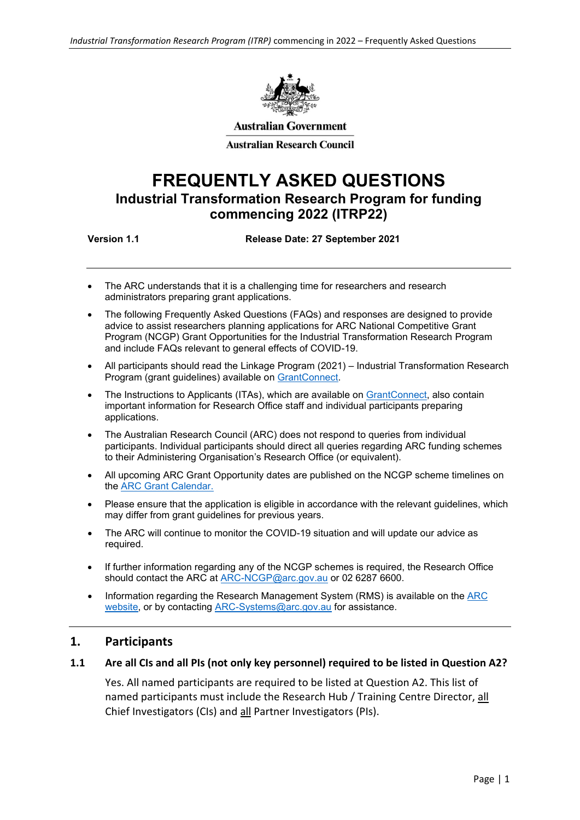

**Australian Government** 

**Australian Research Council** 

# **FREQUENTLY ASKED QUESTIONS Industrial Transformation Research Program for funding commencing 2022 (ITRP22)**

**Version 1.1 Release Date: 27 September 2021**

- The ARC understands that it is a challenging time for researchers and research administrators preparing grant applications.
- The following Frequently Asked Questions (FAQs) and responses are designed to provide advice to assist researchers planning applications for ARC National Competitive Grant Program (NCGP) Grant Opportunities for the Industrial Transformation Research Program and include FAQs relevant to general effects of COVID-19.
- All participants should read the Linkage Program (2021) Industrial Transformation Research Program (grant guidelines) available on [GrantConnect.](https://www.grants.gov.au/)
- The Instructions to Applicants (ITAs), which are available on [GrantConnect,](https://www.grants.gov.au/) also contain important information for Research Office staff and individual participants preparing applications.
- The Australian Research Council (ARC) does not respond to queries from individual participants. Individual participants should direct all queries regarding ARC funding schemes to their Administering Organisation's Research Office (or equivalent).
- All upcoming ARC Grant Opportunity dates are published on the NCGP scheme timelines on the [ARC Grant Calendar.](https://www.arc.gov.au/grants/grant-calendar)
- Please ensure that the application is eligible in accordance with the relevant guidelines, which may differ from grant guidelines for previous years.
- The ARC will continue to monitor the COVID-19 situation and will update our advice as required.
- If further information regarding any of the NCGP schemes is required, the Research Office should contact the ARC at [ARC-NCGP@arc.gov.au](mailto:ARC-NCGP@arc.gov.au) or 02 6287 6600.
- Information regarding the Research Management System (RMS) is available on the [ARC](https://www.arc.gov.au/grants/rms-information) [website,](https://www.arc.gov.au/grants/rms-information) or by contacting [ARC-Systems@arc.gov.au](mailto:ARC-Systems@arc.gov.au) for assistance.

#### **1. Participants**

#### **1.1 Are all CIs and all PIs (not only key personnel) required to be listed in Question A2?**

Yes. All named participants are required to be listed at Question A2. This list of named participants must include the Research Hub / Training Centre Director, all Chief Investigators (CIs) and all Partner Investigators (PIs).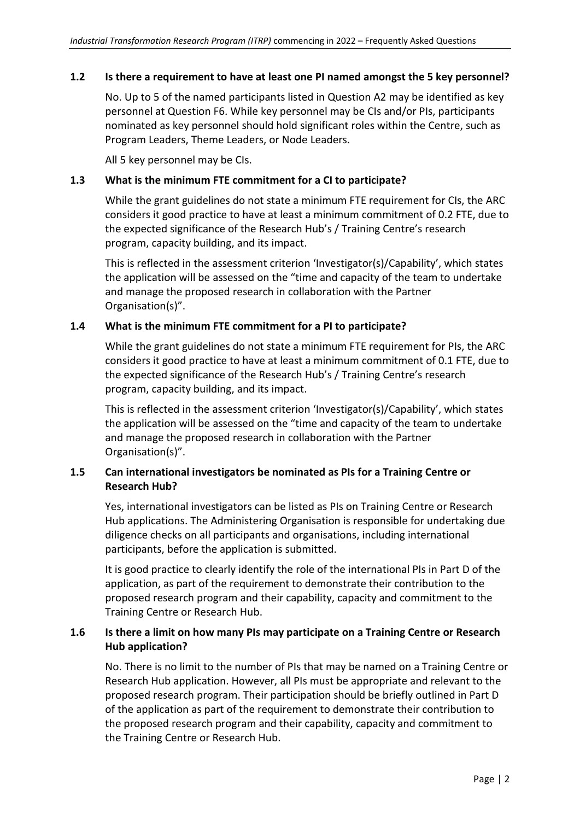#### **1.2 Is there a requirement to have at least one PI named amongst the 5 key personnel?**

No. Up to 5 of the named participants listed in Question A2 may be identified as key personnel at Question F6. While key personnel may be CIs and/or PIs, participants nominated as key personnel should hold significant roles within the Centre, such as Program Leaders, Theme Leaders, or Node Leaders.

All 5 key personnel may be CIs.

#### **1.3 What is the minimum FTE commitment for a CI to participate?**

While the grant guidelines do not state a minimum FTE requirement for CIs, the ARC considers it good practice to have at least a minimum commitment of 0.2 FTE, due to the expected significance of the Research Hub's / Training Centre's research program, capacity building, and its impact.

This is reflected in the assessment criterion 'Investigator(s)/Capability', which states the application will be assessed on the "time and capacity of the team to undertake and manage the proposed research in collaboration with the Partner Organisation(s)".

#### **1.4 What is the minimum FTE commitment for a PI to participate?**

While the grant guidelines do not state a minimum FTE requirement for PIs, the ARC considers it good practice to have at least a minimum commitment of 0.1 FTE, due to the expected significance of the Research Hub's / Training Centre's research program, capacity building, and its impact.

This is reflected in the assessment criterion 'Investigator(s)/Capability', which states the application will be assessed on the "time and capacity of the team to undertake and manage the proposed research in collaboration with the Partner Organisation(s)".

# **1.5 Can international investigators be nominated as PIs for a Training Centre or Research Hub?**

Yes, international investigators can be listed as PIs on Training Centre or Research Hub applications. The Administering Organisation is responsible for undertaking due diligence checks on all participants and organisations, including international participants, before the application is submitted.

It is good practice to clearly identify the role of the international PIs in Part D of the application, as part of the requirement to demonstrate their contribution to the proposed research program and their capability, capacity and commitment to the Training Centre or Research Hub.

# **1.6 Is there a limit on how many PIs may participate on a Training Centre or Research Hub application?**

No. There is no limit to the number of PIs that may be named on a Training Centre or Research Hub application. However, all PIs must be appropriate and relevant to the proposed research program. Their participation should be briefly outlined in Part D of the application as part of the requirement to demonstrate their contribution to the proposed research program and their capability, capacity and commitment to the Training Centre or Research Hub.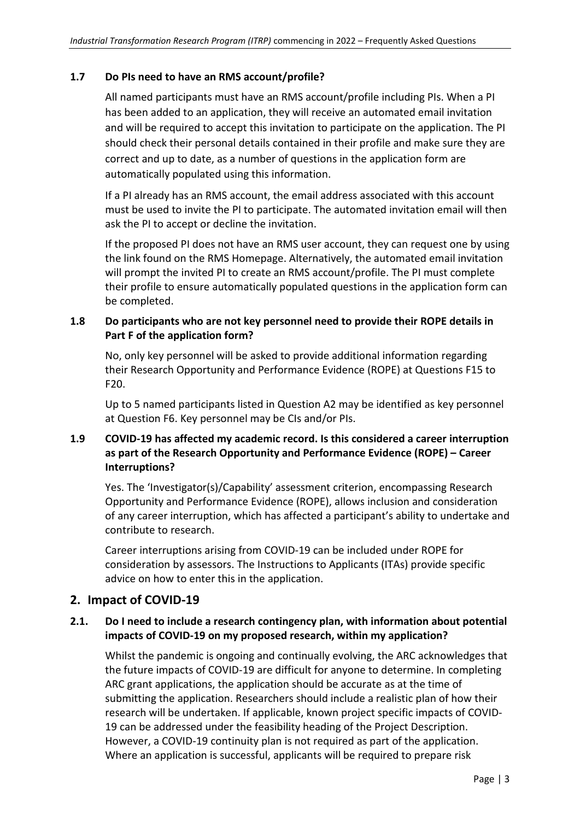# **1.7 Do PIs need to have an RMS account/profile?**

All named participants must have an RMS account/profile including PIs. When a PI has been added to an application, they will receive an automated email invitation and will be required to accept this invitation to participate on the application. The PI should check their personal details contained in their profile and make sure they are correct and up to date, as a number of questions in the application form are automatically populated using this information.

If a PI already has an RMS account, the email address associated with this account must be used to invite the PI to participate. The automated invitation email will then ask the PI to accept or decline the invitation.

If the proposed PI does not have an RMS user account, they can request one by using the link found on the RMS Homepage. Alternatively, the automated email invitation will prompt the invited PI to create an RMS account/profile. The PI must complete their profile to ensure automatically populated questions in the application form can be completed.

# **1.8 Do participants who are not key personnel need to provide their ROPE details in Part F of the application form?**

No, only key personnel will be asked to provide additional information regarding their Research Opportunity and Performance Evidence (ROPE) at Questions F15 to F20.

Up to 5 named participants listed in Question A2 may be identified as key personnel at Question F6. Key personnel may be CIs and/or PIs.

# **1.9 COVID-19 has affected my academic record. Is this considered a career interruption as part of the Research Opportunity and Performance Evidence (ROPE) – Career Interruptions?**

Yes. The 'Investigator(s)/Capability' assessment criterion, encompassing Research Opportunity and Performance Evidence (ROPE), allows inclusion and consideration of any career interruption, which has affected a participant's ability to undertake and contribute to research.

Career interruptions arising from COVID-19 can be included under ROPE for consideration by assessors. The Instructions to Applicants (ITAs) provide specific advice on how to enter this in the application.

# **2. Impact of COVID-19**

# **2.1. Do I need to include a research contingency plan, with information about potential impacts of COVID-19 on my proposed research, within my application?**

Whilst the pandemic is ongoing and continually evolving, the ARC acknowledges that the future impacts of COVID-19 are difficult for anyone to determine. In completing ARC grant applications, the application should be accurate as at the time of submitting the application. Researchers should include a realistic plan of how their research will be undertaken. If applicable, known project specific impacts of COVID-19 can be addressed under the feasibility heading of the Project Description. However, a COVID-19 continuity plan is not required as part of the application. Where an application is successful, applicants will be required to prepare risk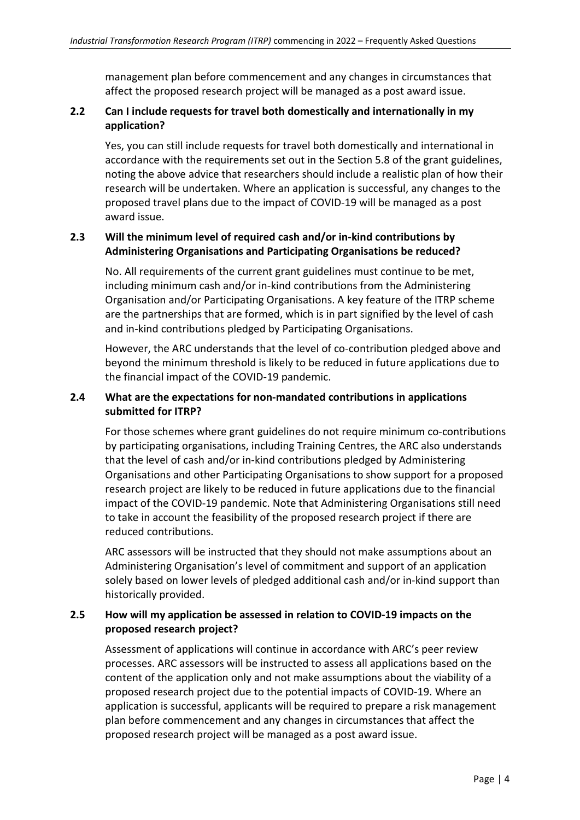management plan before commencement and any changes in circumstances that affect the proposed research project will be managed as a post award issue.

# **2.2 Can I include requests for travel both domestically and internationally in my application?**

Yes, you can still include requests for travel both domestically and international in accordance with the requirements set out in the Section 5.8 of the grant guidelines, noting the above advice that researchers should include a realistic plan of how their research will be undertaken. Where an application is successful, any changes to the proposed travel plans due to the impact of COVID-19 will be managed as a post award issue.

# **2.3 Will the minimum level of required cash and/or in-kind contributions by Administering Organisations and Participating Organisations be reduced?**

No. All requirements of the current grant guidelines must continue to be met, including minimum cash and/or in-kind contributions from the Administering Organisation and/or Participating Organisations. A key feature of the ITRP scheme are the partnerships that are formed, which is in part signified by the level of cash and in-kind contributions pledged by Participating Organisations.

However, the ARC understands that the level of co-contribution pledged above and beyond the minimum threshold is likely to be reduced in future applications due to the financial impact of the COVID-19 pandemic.

#### **2.4 What are the expectations for non-mandated contributions in applications submitted for ITRP?**

For those schemes where grant guidelines do not require minimum co-contributions by participating organisations, including Training Centres, the ARC also understands that the level of cash and/or in-kind contributions pledged by Administering Organisations and other Participating Organisations to show support for a proposed research project are likely to be reduced in future applications due to the financial impact of the COVID-19 pandemic. Note that Administering Organisations still need to take in account the feasibility of the proposed research project if there are reduced contributions.

ARC assessors will be instructed that they should not make assumptions about an Administering Organisation's level of commitment and support of an application solely based on lower levels of pledged additional cash and/or in-kind support than historically provided.

# **2.5 How will my application be assessed in relation to COVID-19 impacts on the proposed research project?**

Assessment of applications will continue in accordance with ARC'[s peer review](https://www.arc.gov.au/peer-review)  [processes.](https://www.arc.gov.au/peer-review) ARC assessors will be instructed to assess all applications based on the content of the application only and not make assumptions about the viability of a proposed research project due to the potential impacts of COVID-19. Where an application is successful, applicants will be required to prepare a risk management plan before commencement and any changes in circumstances that affect the proposed research project will be managed as a post award issue.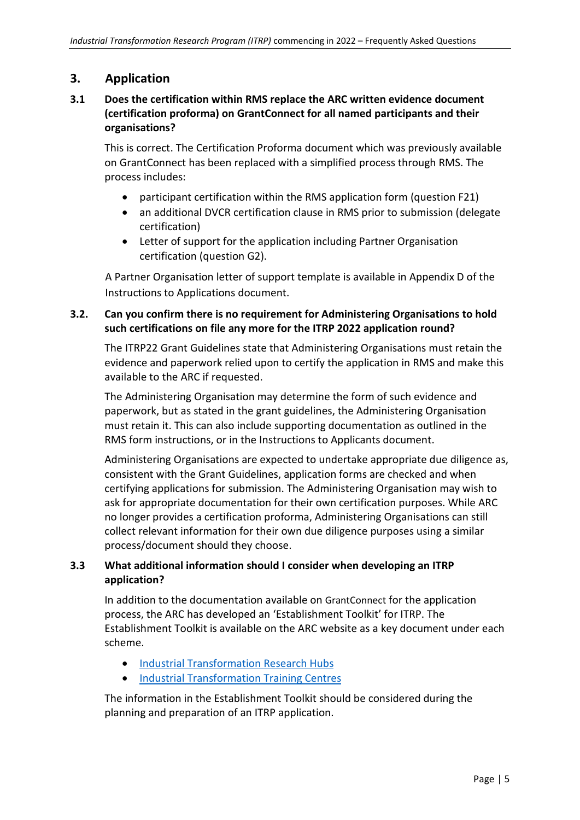# **3. Application**

# **3.1 Does the certification within RMS replace the ARC written evidence document (certification proforma) on GrantConnect for all named participants and their organisations?**

This is correct. The Certification Proforma document which was previously available on [GrantConnect](https://www.grants.gov.au/Go/Show?GoUuid=c699d107-eca3-46d9-be0f-bc5526e10bc5) has been replaced with a simplified process through RMS. The process includes:

- participant certification within the RMS application form (question F21)
- an additional DVCR certification clause in RMS prior to submission (delegate certification)
- Letter of support for the application including Partner Organisation certification (question G2).

A Partner Organisation letter of support template is available in Appendix D of the Instructions to Applications document.

# **3.2. Can you confirm there is no requirement for Administering Organisations to hold such certifications on file any more for the ITRP 2022 application round?**

The ITRP22 Grant Guidelines state that Administering Organisations must retain the evidence and paperwork relied upon to certify the application in RMS and make this available to the ARC if requested.

The Administering Organisation may determine the form of such evidence and paperwork, but as stated in the grant guidelines, the Administering Organisation must retain it. This can also include supporting documentation as outlined in the RMS form instructions, or in the Instructions to Applicants document.

Administering Organisations are expected to undertake appropriate due diligence as, consistent with the Grant Guidelines, application forms are checked and when certifying applications for submission. The Administering Organisation may wish to ask for appropriate documentation for their own certification purposes. While ARC no longer provides a certification proforma, Administering Organisations can still collect relevant information for their own due diligence purposes using a similar process/document should they choose.

# **3.3 What additional information should I consider when developing an ITRP application?**

In addition to the documentation available on [GrantConnect](https://www.grants.gov.au/) for the application process, the ARC has developed an 'Establishment Toolkit' for ITRP. The Establishment Toolkit is available on the ARC website as a key document under each scheme.

- [Industrial Transformation Research Hubs](https://www.arc.gov.au/grants/linkage-program/industrial-transformation-research-program/industrial-transformation-research-hubs)
- [Industrial Transformation Training Centres](https://www.arc.gov.au/grants/linkage-program/industrial-transformation-research-program/industrial-transformation-training-centres)

The information in the Establishment Toolkit should be considered during the planning and preparation of an ITRP application.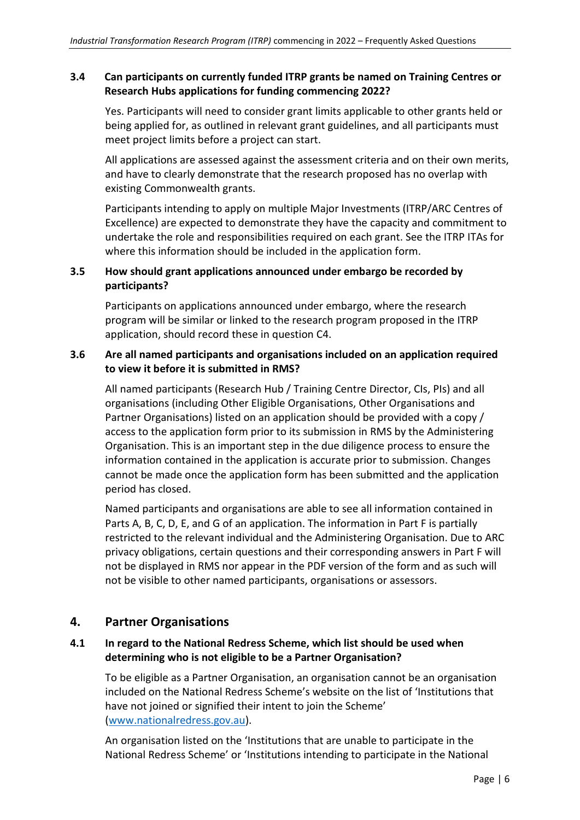#### **3.4 Can participants on currently funded ITRP grants be named on Training Centres or Research Hubs applications for funding commencing 2022?**

Yes. Participants will need to consider grant limits applicable to other grants held or being applied for, as outlined in relevant grant guidelines, and all participants must meet project limits before a project can start.

All applications are assessed against the assessment criteria and on their own merits, and have to clearly demonstrate that the research proposed has no overlap with existing Commonwealth grants.

Participants intending to apply on multiple Major Investments (ITRP/ARC Centres of Excellence) are expected to demonstrate they have the capacity and commitment to undertake the role and responsibilities required on each grant. See the ITRP ITAs for where this information should be included in the application form.

# **3.5 How should grant applications announced under embargo be recorded by participants?**

Participants on applications announced under embargo, where the research program will be similar or linked to the research program proposed in the ITRP application, should record these in question C4.

#### **3.6 Are all named participants and organisations included on an application required to view it before it is submitted in RMS?**

All named participants (Research Hub / Training Centre Director, CIs, PIs) and all organisations (including Other Eligible Organisations, Other Organisations and Partner Organisations) listed on an application should be provided with a copy / access to the application form prior to its submission in RMS by the Administering Organisation. This is an important step in the due diligence process to ensure the information contained in the application is accurate prior to submission. Changes cannot be made once the application form has been submitted and the application period has closed.

Named participants and organisations are able to see all information contained in Parts A, B, C, D, E, and G of an application. The information in Part F is partially restricted to the relevant individual and the Administering Organisation. Due to ARC privacy obligations, certain questions and their corresponding answers in Part F will not be displayed in RMS nor appear in the PDF version of the form and as such will not be visible to other named participants, organisations or assessors.

# **4. Partner Organisations**

#### **4.1 In regard to the National Redress Scheme, which list should be used when determining who is not eligible to be a Partner Organisation?**

To be eligible as a Partner Organisation, an organisation cannot be an organisation included on the National Redress Scheme's website on the list of 'Institutions that have not joined or signified their intent to join the Scheme' [\(www.nationalredress.gov.au\)](http://www.nationalredress.gov.au/).

An organisation listed on the 'Institutions that are unable to participate in the National Redress Scheme' or 'Institutions intending to participate in the National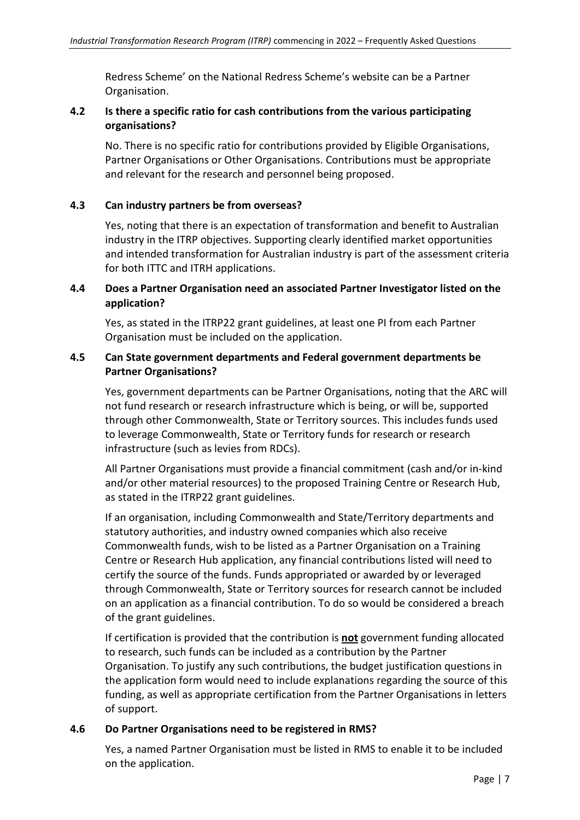Redress Scheme' on the National Redress Scheme's website can be a Partner Organisation.

#### **4.2 Is there a specific ratio for cash contributions from the various participating organisations?**

No. There is no specific ratio for contributions provided by Eligible Organisations, Partner Organisations or Other Organisations. Contributions must be appropriate and relevant for the research and personnel being proposed.

#### **4.3 Can industry partners be from overseas?**

Yes, noting that there is an expectation of transformation and benefit to Australian industry in the ITRP objectives. Supporting clearly identified market opportunities and intended transformation for Australian industry is part of the assessment criteria for both ITTC and ITRH applications.

# **4.4 Does a Partner Organisation need an associated Partner Investigator listed on the application?**

Yes, as stated in the ITRP22 grant guidelines, at least one PI from each Partner Organisation must be included on the application.

#### **4.5 Can State government departments and Federal government departments be Partner Organisations?**

Yes, government departments can be Partner Organisations, noting that the ARC will not fund research or research infrastructure which is being, or will be, supported through other Commonwealth, State or Territory sources. This includes funds used to leverage Commonwealth, State or Territory funds for research or research infrastructure (such as levies from RDCs).

All Partner Organisations must provide a financial commitment (cash and/or in-kind and/or other material resources) to the proposed Training Centre or Research Hub, as stated in the ITRP22 grant guidelines.

If an organisation, including Commonwealth and State/Territory departments and statutory authorities, and industry owned companies which also receive Commonwealth funds, wish to be listed as a Partner Organisation on a Training Centre or Research Hub application, any financial contributions listed will need to certify the source of the funds. Funds appropriated or awarded by or leveraged through Commonwealth, State or Territory sources for research cannot be included on an application as a financial contribution. To do so would be considered a breach of the grant guidelines.

If certification is provided that the contribution is **not** government funding allocated to research, such funds can be included as a contribution by the Partner Organisation. To justify any such contributions, the budget justification questions in the application form would need to include explanations regarding the source of this funding, as well as appropriate certification from the Partner Organisations in letters of support.

#### **4.6 Do Partner Organisations need to be registered in RMS?**

Yes, a named Partner Organisation must be listed in RMS to enable it to be included on the application.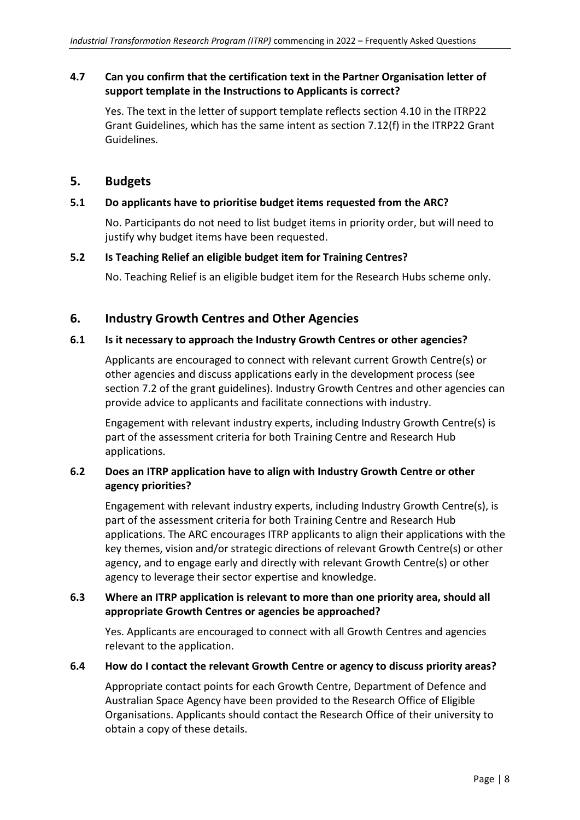#### **4.7 Can you confirm that the certification text in the Partner Organisation letter of support template in the Instructions to Applicants is correct?**

Yes. The text in the letter of support template reflects section 4.10 in the ITRP22 Grant Guidelines, which has the same intent as section 7.12(f) in the ITRP22 Grant Guidelines.

# **5. Budgets**

#### **5.1 Do applicants have to prioritise budget items requested from the ARC?**

No. Participants do not need to list budget items in priority order, but will need to justify why budget items have been requested.

#### **5.2 Is Teaching Relief an eligible budget item for Training Centres?**

No. Teaching Relief is an eligible budget item for the Research Hubs scheme only.

# **6. Industry Growth Centres and Other Agencies**

#### **6.1 Is it necessary to approach the Industry Growth Centres or other agencies?**

Applicants are encouraged to connect with relevant current Growth Centre(s) or other agencies and discuss applications early in the development process (see section 7.2 of the grant guidelines). Industry Growth Centres and other agencies can provide advice to applicants and facilitate connections with industry.

Engagement with relevant industry experts, including Industry Growth Centre(s) is part of the assessment criteria for both Training Centre and Research Hub applications.

# **6.2 Does an ITRP application have to align with Industry Growth Centre or other agency priorities?**

Engagement with relevant industry experts, including Industry Growth Centre(s), is part of the assessment criteria for both Training Centre and Research Hub applications. The ARC encourages ITRP applicants to align their applications with the key themes, vision and/or strategic directions of relevant Growth Centre(s) or other agency, and to engage early and directly with relevant Growth Centre(s) or other agency to leverage their sector expertise and knowledge.

# **6.3 Where an ITRP application is relevant to more than one priority area, should all appropriate Growth Centres or agencies be approached?**

Yes. Applicants are encouraged to connect with all Growth Centres and agencies relevant to the application.

#### **6.4 How do I contact the relevant Growth Centre or agency to discuss priority areas?**

Appropriate contact points for each Growth Centre, Department of Defence and Australian Space Agency have been provided to the Research Office of Eligible Organisations. Applicants should contact the Research Office of their university to obtain a copy of these details.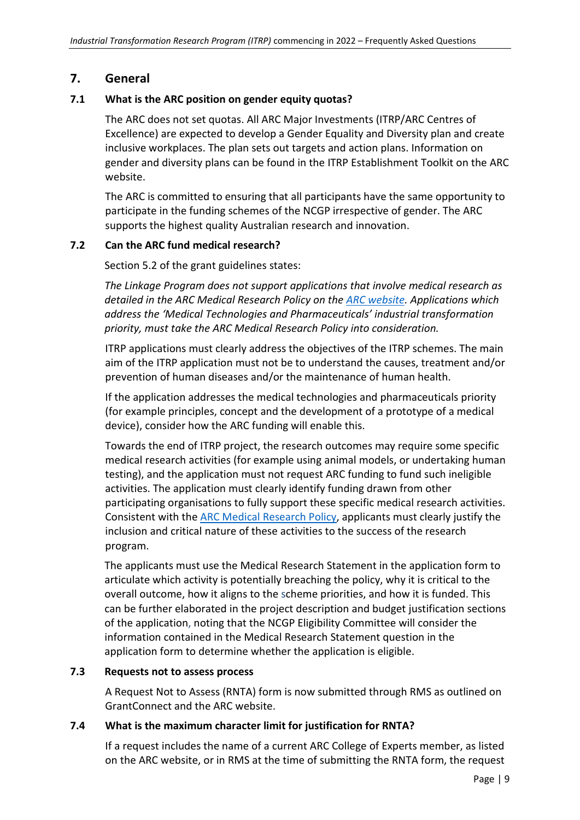# **7. General**

#### **7.1 What is the ARC position on gender equity quotas?**

The ARC does not set quotas. All ARC Major Investments (ITRP/ARC Centres of Excellence) are expected to develop a Gender Equality and Diversity plan and create inclusive workplaces. The plan sets out targets and action plans. Information on gender and diversity plans can be found in the ITRP Establishment Toolkit on the ARC website.

The ARC is committed to ensuring that all participants have the same opportunity to participate in the funding schemes of the NCGP irrespective of gender. The ARC supports the highest quality Australian research and innovation.

#### **7.2 Can the ARC fund medical research?**

Section 5.2 of the grant guidelines states:

*The Linkage Program does not support applications that involve medical research as detailed in the ARC Medical Research Policy on the [ARC website.](http://www.arc.gov.au/) Applications which address the 'Medical Technologies and Pharmaceuticals' industrial transformation priority, must take the ARC Medical Research Policy into consideration.*

ITRP applications must clearly address the objectives of the ITRP schemes. The main aim of the ITRP application must not be to understand the causes, treatment and/or prevention of human diseases and/or the maintenance of human health.

If the application addresses the medical technologies and pharmaceuticals priority (for example principles, concept and the development of a prototype of a medical device), consider how the ARC funding will enable this.

Towards the end of ITRP project, the research outcomes may require some specific medical research activities (for example using animal models, or undertaking human testing), and the application must not request ARC funding to fund such ineligible activities. The application must clearly identify funding drawn from other participating organisations to fully support these specific medical research activities. Consistent with th[e ARC Medical Research Policy,](https://www.arc.gov.au/policies-strategies/policy/arc-medical-research-policy) applicants must clearly justify the inclusion and critical nature of these activities to the success of the research program.

The applicants must use the Medical Research Statement in the application form to articulate which activity is potentially breaching the policy, why it is critical to the overall outcome, how it aligns to the scheme priorities, and how it is funded. This can be further elaborated in the project description and budget justification sections of the application, noting that the NCGP Eligibility Committee will consider the information contained in the Medical Research Statement question in the application form to determine whether the application is eligible.

#### **7.3 Requests not to assess process**

A Request Not to Assess (RNTA) form is now submitted through RMS as outlined on [GrantConnect](http://www.grants.gov.au/) and the ARC [website.](http://www.arc.gov.au/)

#### **7.4 What is the maximum character limit for justification for RNTA?**

If a request includes the name of a current ARC College of Experts member, as listed on the [ARC website,](http://www.arc.gov.au/) or in RMS at the time of submitting the RNTA form, the request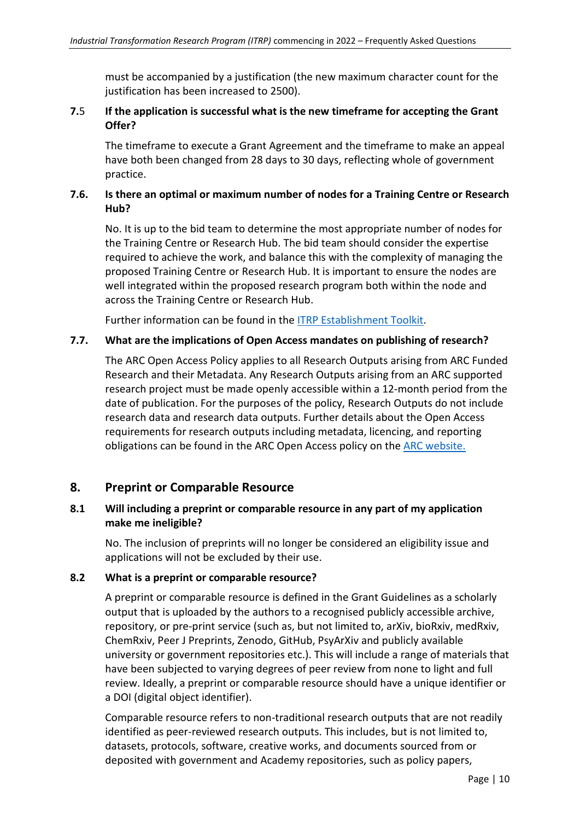must be accompanied by a justification (the new maximum character count for the justification has been increased to 2500).

#### **7.**5 **If the application is successful what is the new timeframe for accepting the Grant Offer?**

The timeframe to execute a Grant Agreement and the timeframe to make an appeal have both been changed from 28 days to 30 days, reflecting whole of government practice.

# **7.6. Is there an optimal or maximum number of nodes for a Training Centre or Research Hub?**

No. It is up to the bid team to determine the most appropriate number of nodes for the Training Centre or Research Hub. The bid team should consider the expertise required to achieve the work, and balance this with the complexity of managing the proposed Training Centre or Research Hub. It is important to ensure the nodes are well integrated within the proposed research program both within the node and across the Training Centre or Research Hub.

Further information can be found in the [ITRP Establishment Toolkit.](https://www.arc.gov.au/grants/linkage-program/industrial-transformation-research-program/industrial-transformation-research-hubs)

#### **7.7. What are the implications of Open Access mandates on publishing of research?**

The ARC Open Access Policy applies to all Research Outputs arising from ARC Funded Research and their Metadata. Any Research Outputs arising from an ARC supported research project must be made openly accessible within a 12-month period from the date of publication. For the purposes of the policy, Research Outputs do not include research data and research data outputs. Further details about the Open Access requirements for research outputs including metadata, licencing, and reporting obligations can be found in the ARC Open Access policy on the [ARC website.](https://www.arc.gov.au/policies-strategies/policy/arc-open-access-policy)

# **8. Preprint or Comparable Resource**

#### **8.1 Will including a preprint or comparable resource in any part of my application make me ineligible?**

No. The inclusion of preprints will no longer be considered an eligibility issue and applications will not be excluded by their use.

#### **8.2 What is a preprint or comparable resource?**

A preprint or comparable resource is defined in the Grant Guidelines as a scholarly output that is uploaded by the authors to a recognised publicly accessible archive, repository, or pre-print service (such as, but not limited to, arXiv, bioRxiv, medRxiv, ChemRxiv, Peer J Preprints, Zenodo, GitHub, PsyArXiv and publicly available university or government repositories etc.). This will include a range of materials that have been subjected to varying degrees of peer review from none to light and full review. Ideally, a preprint or comparable resource should have a unique identifier or a DOI (digital object identifier).

Comparable resource refers to non-traditional research outputs that are not readily identified as peer-reviewed research outputs. This includes, but is not limited to, datasets, protocols, software, creative works, and documents sourced from or deposited with government and Academy repositories, such as policy papers,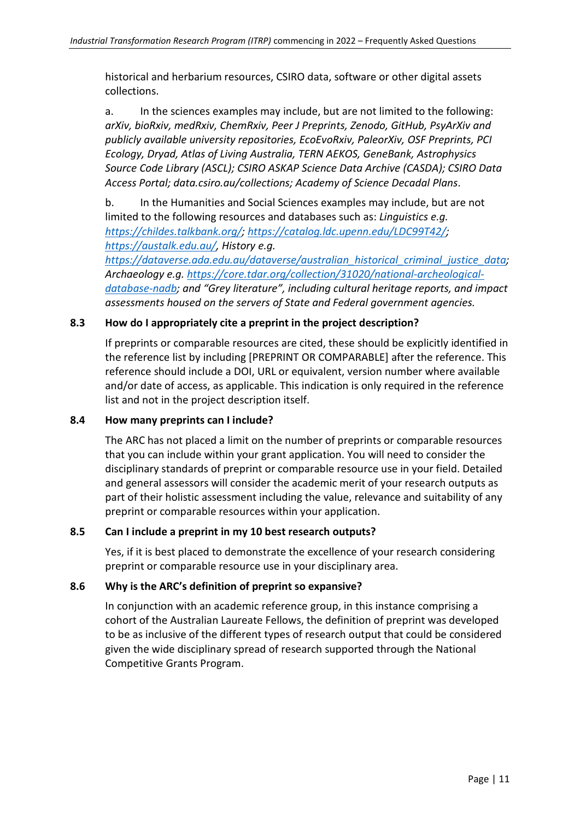historical and herbarium resources, CSIRO data, software or other digital assets collections.

a. In the sciences examples may include, but are not limited to the following: *arXiv, bioRxiv, medRxiv, ChemRxiv, Peer J Preprints, Zenodo, GitHub, PsyArXiv and publicly available university repositories, EcoEvoRxiv, PaleorXiv, OSF Preprints, PCI Ecology, Dryad, Atlas of Living Australia, TERN AEKOS, GeneBank, Astrophysics Source Code Library (ASCL); CSIRO ASKAP Science Data Archive (CASDA); CSIRO Data Access Portal; data.csiro.au/collections; Academy of Science Decadal Plans*.

b. In the Humanities and Social Sciences examples may include, but are not limited to the following resources and databases such as: *Linguistics e.g. [https://childes.talkbank.org/;](https://childes.talkbank.org/) [https://catalog.ldc.upenn.edu/LDC99T42/;](https://catalog.ldc.upenn.edu/LDC99T42/) [https://austalk.edu.au/,](https://austalk.edu.au/) History e.g.* 

*[https://dataverse.ada.edu.au/dataverse/australian\\_historical\\_criminal\\_justice\\_data;](https://dataverse.ada.edu.au/dataverse/australian_historical_criminal_justice_data) Archaeology e.g. [https://core.tdar.org/collection/31020/national-archeological](https://core.tdar.org/collection/31020/national-archeological-database-nadb)[database-nadb;](https://core.tdar.org/collection/31020/national-archeological-database-nadb) and "Grey literature", including cultural heritage reports, and impact assessments housed on the servers of State and Federal government agencies.* 

#### **8.3 How do I appropriately cite a preprint in the project description?**

If preprints or comparable resources are cited, these should be explicitly identified in the reference list by including [PREPRINT OR COMPARABLE] after the reference. This reference should include a DOI, URL or equivalent, version number where available and/or date of access, as applicable. This indication is only required in the reference list and not in the project description itself.

#### **8.4 How many preprints can I include?**

The ARC has not placed a limit on the number of preprints or comparable resources that you can include within your grant application. You will need to consider the disciplinary standards of preprint or comparable resource use in your field. Detailed and general assessors will consider the academic merit of your research outputs as part of their holistic assessment including the value, relevance and suitability of any preprint or comparable resources within your application.

#### **8.5 Can I include a preprint in my 10 best research outputs?**

Yes, if it is best placed to demonstrate the excellence of your research considering preprint or comparable resource use in your disciplinary area.

#### **8.6 Why is the ARC's definition of preprint so expansive?**

In conjunction with an academic reference group, in this instance comprising a cohort of the Australian Laureate Fellows, the definition of preprint was developed to be as inclusive of the different types of research output that could be considered given the wide disciplinary spread of research supported through the National Competitive Grants Program.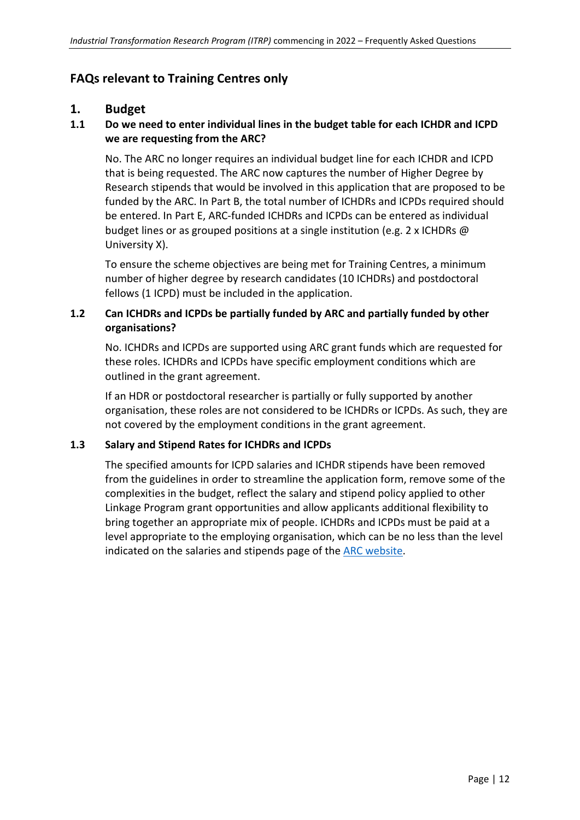# **FAQs relevant to Training Centres only**

# **1. Budget**

#### **1.1 Do we need to enter individual lines in the budget table for each ICHDR and ICPD we are requesting from the ARC?**

No. The ARC no longer requires an individual budget line for each ICHDR and ICPD that is being requested. The ARC now captures the number of Higher Degree by Research stipends that would be involved in this application that are proposed to be funded by the ARC. In Part B, the total number of ICHDRs and ICPDs required should be entered. In Part E, ARC-funded ICHDRs and ICPDs can be entered as individual budget lines or as grouped positions at a single institution (e.g. 2 x ICHDRs @ University X).

To ensure the scheme objectives are being met for Training Centres, a minimum number of higher degree by research candidates (10 ICHDRs) and postdoctoral fellows (1 ICPD) must be included in the application.

#### **1.2 Can ICHDRs and ICPDs be partially funded by ARC and partially funded by other organisations?**

No. ICHDRs and ICPDs are supported using ARC grant funds which are requested for these roles. ICHDRs and ICPDs have specific employment conditions which are outlined in the grant agreement.

If an HDR or postdoctoral researcher is partially or fully supported by another organisation, these roles are not considered to be ICHDRs or ICPDs. As such, they are not covered by the employment conditions in the grant agreement.

#### **1.3 Salary and Stipend Rates for ICHDRs and ICPDs**

The specified amounts for ICPD salaries and ICHDR stipends have been removed from the guidelines in order to streamline the application form, remove some of the complexities in the budget, reflect the salary and stipend policy applied to other Linkage Program grant opportunities and allow applicants additional flexibility to bring together an appropriate mix of people. ICHDRs and ICPDs must be paid at a level appropriate to the employing organisation, which can be no less than the level indicated on the salaries and stipends page of the [ARC website.](http://www.arc.gov.au/)